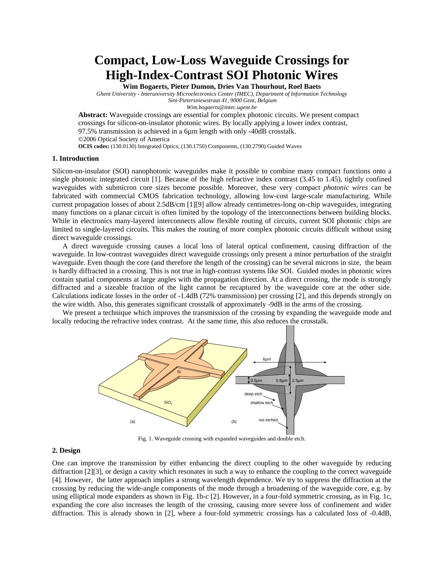**Compact, Low-Loss Waveguide Crossings for High-Index-Contrast SOI Photonic Wires** 

**Wim Bogaerts, Pieter Dumon, Dries Van Thourhout, Roel Baets** 

*Ghent University - Interuniversity Microelectronics Center (IMEC), Department of Information Technology Sint-Pietersniewstraat 41, 9000 Gent, Belgium* 

*Wim.bogaerts@intec.ugent.be* 

**Abstract:** Waveguide crossings are essential for complex photonic circuits. We present compact crossings for silicon-on-insulator photonic wires. By locally applying a lower index contrast, 97.5% transmission is achieved in a 6µm length with only -40dB crosstalk. ©2006 Optical Society of America **OCIS codes:** (130.0130) Integrated Optics; (130.1750) Components, (130.2790) Guided Waves

#### **1. Introduction**

Silicon-on-insulator (SOI) nanophotonic waveguides make it possible to combine many compact functions onto a single photonic integrated circuit [\[1\]](#page-2-0). Because of the high refractive index contrast (3.45 to 1.45), tightly confined waveguides with submicron core sizes become possible. Moreover, these very compact *photonic wires* can be fabricated with commercial CMOS fabrication technology, allowing low-cost large-scale manufacturing. While current propagation losses of about 2.5dB/cm [\[1\]](#page-2-0)[\[9\]](#page-2-1) allow already centimetres-long on-chip waveguides, integrating many functions on a planar circuit is often limited by the topology of the interconnections between building blocks. While in electronics many-layered interconnects allow flexible routing of circuits, current SOI photonic chips are limited to single-layered circuits. This makes the routing of more complex photonic circuits difficult without using direct waveguide crossings.

A direct waveguide crossing causes a local loss of lateral optical confinement, causing diffraction of the waveguide. In low-contrast waveguides direct waveguide crossings only present a minor perturbation of the straight waveguide. Even though the core (and therefore the length of the crossing) can be several microns in size, the beam is hardly diffracted in a crossing. This is not true in high-contrast systems like SOI. Guided modes in photonic wires contain spatial components at large angles with the propagation direction. At a direct crossing, the mode is strongly diffracted and a sizeable fraction of the light cannot be recaptured by the waveguide core at the other side. Calculations indicate losses in the order of -1.4dB (72% transmission) per crossing [\[2\],](#page-2-2) and this depends strongly on the wire width. Also, this generates significant crosstalk of approximately -9dB in the arms of the crossing.

We present a technique which improves the transmission of the crossing by expanding the waveguide mode and locally reducing the refractive index contrast. At the same time, this also reduces the crosstalk.



Fig. 1. Waveguide crossing with expanded waveguides and double etch.

# **2. Design**

One can improve the transmission by either enhancing the direct coupling to the other waveguide by reducing diffraction [\[2\]](#page-2-2)[\[3\]](#page-2-3), or design a cavity which resonates in such a way to enhance the coupling to the correct waveguide [\[4\].](#page-2-4) However, the latter approach implies a strong wavelength dependence. We try to suppress the diffraction at the crossing by reducing the wide-angle components of the mode through a broadening of the waveguide core, e.g. by using elliptical mode expanders as shown in Fig. 1b-c [\[2\]](#page-2-2). However, in a four-fold symmetric crossing, as in Fig. 1c, expanding the core also increases the length of the crossing, causing more severe loss of confinement and wider diffraction. This is already shown in [\[2\],](#page-2-2) where a four-fold symmetric crossings has a calculated loss of -0.4dB,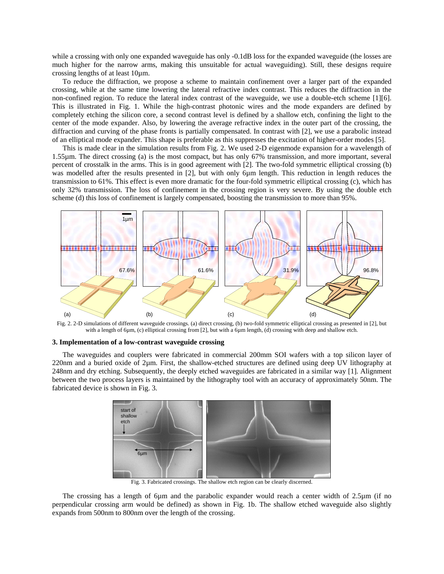while a crossing with only one expanded waveguide has only -0.1dB loss for the expanded waveguide (the losses are much higher for the narrow arms, making this unsuitable for actual waveguiding). Still, these designs require crossing lengths of at least 10µm.

To reduce the diffraction, we propose a scheme to maintain confinement over a larger part of the expanded crossing, while at the same time lowering the lateral refractive index contrast. This reduces the diffraction in the non-confined region. To reduce the lateral index contrast of the waveguide, we use a double-etch scheme [\[1\]](#page-2-0)[\[6\].](#page-2-5) This is illustrated in Fig. 1. While the high-contrast photonic wires and the mode expanders are defined by completely etching the silicon core, a second contrast level is defined by a shallow etch, confining the light to the center of the mode expander. Also, by lowering the average refractive index in the outer part of the crossing, the diffraction and curving of the phase fronts is partially compensated. In contrast with [\[2\],](#page-2-2) we use a parabolic instead of an elliptical mode expander. This shape is preferable as this suppresses the excitation of higher-order modes [\[5\].](#page-2-6)

This is made clear in the simulation results from Fig. 2. We used 2-D eigenmode expansion for a wavelength of 1.55µm. The direct crossing (a) is the most compact, but has only 67% transmission, and more important, several percent of crosstalk in the arms. This is in good agreement with [\[2\]](#page-2-2). The two-fold symmetric elliptical crossing (b) was modelled after the results presented in [\[2\],](#page-2-2) but with only 6µm length. This reduction in length reduces the transmission to 61%. This effect is even more dramatic for the four-fold symmetric elliptical crossing (c), which has only 32% transmission. The loss of confinement in the crossing region is very severe. By using the double etch scheme (d) this loss of confinement is largely compensated, boosting the transmission to more than 95%.



Fig. 2. 2-D simulations of different waveguide crossings. (a) direct crossing, (b) two-fold symmetric elliptical crossing as presented in [\[2\]](#page-2-2), but with a length of 6µm, (c) elliptical crossing from [\[2\],](#page-2-2) but with a 6µm length, (d) crossing with deep and shallow etch.

# **3. Implementation of a low-contrast waveguide crossing**

The waveguides and couplers were fabricated in commercial 200mm SOI wafers with a top silicon layer of 220nm and a buried oxide of 2µm. First, the shallow-etched structures are defined using deep UV lithography at 248nm and dry etching. Subsequently, the deeply etched waveguides are fabricated in a similar way [\[1\].](#page-2-0) Alignment between the two process layers is maintained by the lithography tool with an accuracy of approximately 50nm. The fabricated device is shown in Fig. 3.



Fig. 3. Fabricated crossings. The shallow etch region can be clearly discerned.

The crossing has a length of 6µm and the parabolic expander would reach a center width of 2.5µm (if no perpendicular crossing arm would be defined) as shown in Fig. 1b. The shallow etched waveguide also slightly expands from 500nm to 800nm over the length of the crossing.